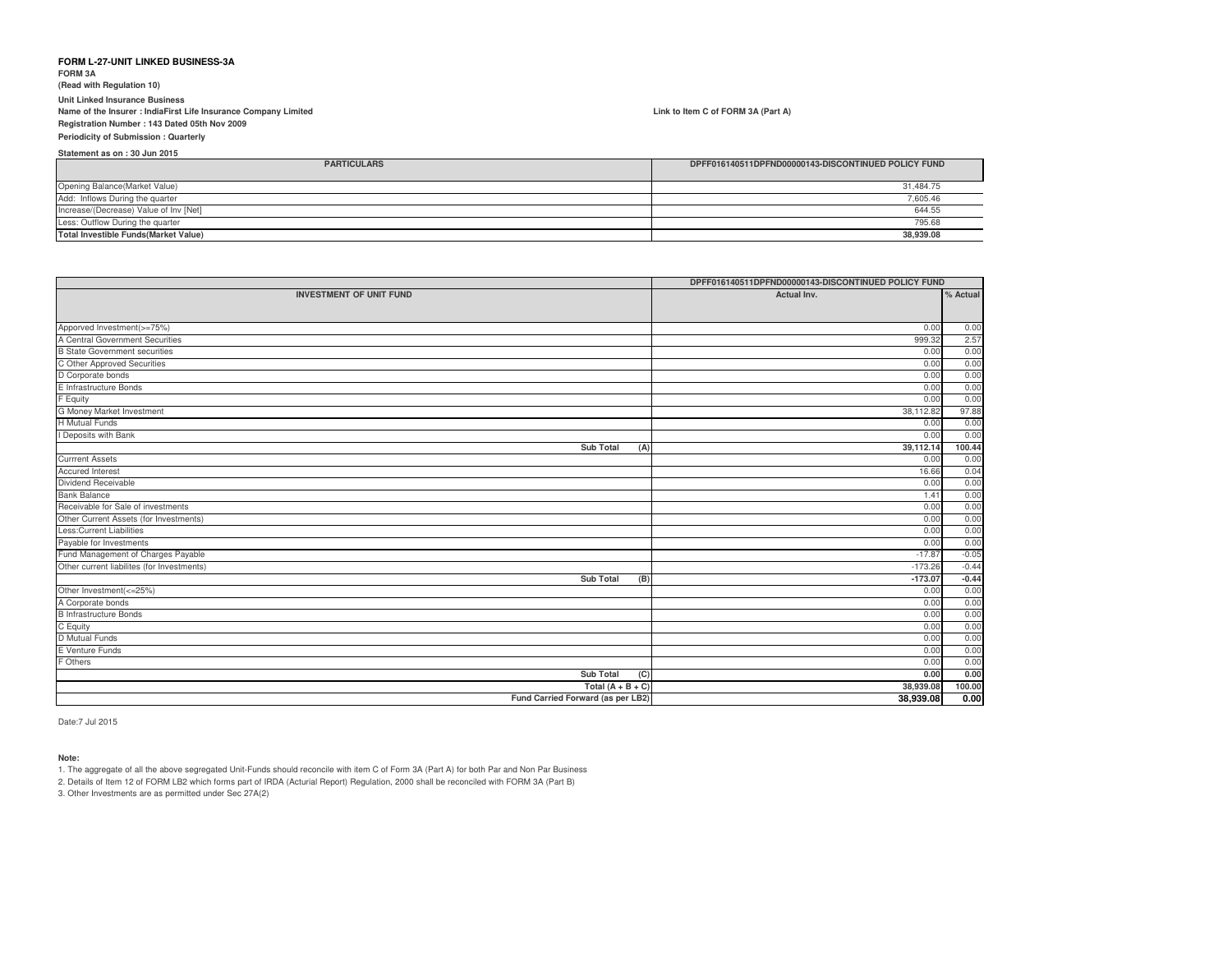**FORM 3A(Read with Regulation 10)**

**Unit Linked Insurance Business Name of the Insurer : IndiaFirst Life Insurance Company LimitedRegistration Number : 143 Dated 05th Nov 2009**

**Periodicity of Submission : Quarterly**

**Statement as on : 30 Jun 2015**

| <b>PARTICULARS</b>                           | DPFF016140511DPFND00000143-DISCONTINUED POLICY FUND |
|----------------------------------------------|-----------------------------------------------------|
| Opening Balance(Market Value)                | 31,484.75                                           |
| Add: Inflows During the quarter              | 7,605.46                                            |
| Increase/(Decrease) Value of Inv [Net]       | 644.55                                              |
| Less: Outflow During the quarter             | 795.68                                              |
| <b>Total Investible Funds (Market Value)</b> | 38,939.08                                           |

|                                            | DPFF016140511DPFND00000143-DISCONTINUED POLICY FUND |          |
|--------------------------------------------|-----------------------------------------------------|----------|
| <b>INVESTMENT OF UNIT FUND</b>             | Actual Inv.                                         | % Actual |
|                                            |                                                     |          |
| Apporved Investment(>=75%)                 | 0.00                                                | 0.00     |
| A Central Government Securities            | 999.32                                              | 2.57     |
| <b>B State Government securities</b>       | 0.00                                                | 0.00     |
| C Other Approved Securities                | 0.00                                                | 0.00     |
| D Corporate bonds                          | 0.00                                                | 0.00     |
| E Infrastructure Bonds                     | 0.00                                                | 0.00     |
| F Equity                                   | 0.00                                                | 0.00     |
| G Money Market Investment                  | 38,112.82                                           | 97.88    |
| <b>H</b> Mutual Funds                      | 0.00                                                | 0.00     |
| I Deposits with Bank                       | 0.00                                                | 0.00     |
| <b>Sub Total</b><br>(A)                    | 39,112.14                                           | 100.44   |
| <b>Currrent Assets</b>                     | 0.00                                                | 0.00     |
| <b>Accured Interest</b>                    | 16.66                                               | 0.04     |
| Dividend Receivable                        | 0.00                                                | 0.00     |
| <b>Bank Balance</b>                        | 1.41                                                | 0.00     |
| Receivable for Sale of investments         | 0.00                                                | 0.00     |
| Other Current Assets (for Investments)     | 0.00                                                | 0.00     |
| <b>Less:Current Liabilities</b>            | 0.00                                                | 0.00     |
| Payable for Investments                    | 0.00                                                | 0.00     |
| Fund Management of Charges Payable         | $-17.87$                                            | $-0.05$  |
| Other current liabilites (for Investments) | $-173.26$                                           | $-0.44$  |
| <b>Sub Total</b><br>(B)                    | $-173.07$                                           | $-0.44$  |
| Other Investment(<=25%)                    | 0.00                                                | 0.00     |
| A Corporate bonds                          | 0.00                                                | 0.00     |
| <b>B</b> Infrastructure Bonds              | 0.00                                                | 0.00     |
| C Equity                                   | 0.00                                                | 0.00     |
| D Mutual Funds                             | 0.00                                                | 0.00     |
| E Venture Funds                            | 0.00                                                | 0.00     |
| F Others                                   | 0.00                                                | 0.00     |
| <b>Sub Total</b><br>(C)                    | 0.00                                                | 0.00     |
| Total $(A + B + C)$                        | 38,939.08                                           | 100.00   |
| Fund Carried Forward (as per LB2)          | 38,939.08                                           | 0.00     |

Date:7 Jul 2015

#### **Note:**

1. The aggregate of all the above segregated Unit-Funds should reconcile with item C of Form 3A (Part A) for both Par and Non Par Business

2. Details of Item 12 of FORM LB2 which forms part of IRDA (Acturial Report) Regulation, 2000 shall be reconciled with FORM 3A (Part B)

3. Other Investments are as permitted under Sec 27A(2)

**Link to Item C of FORM 3A (Part A)**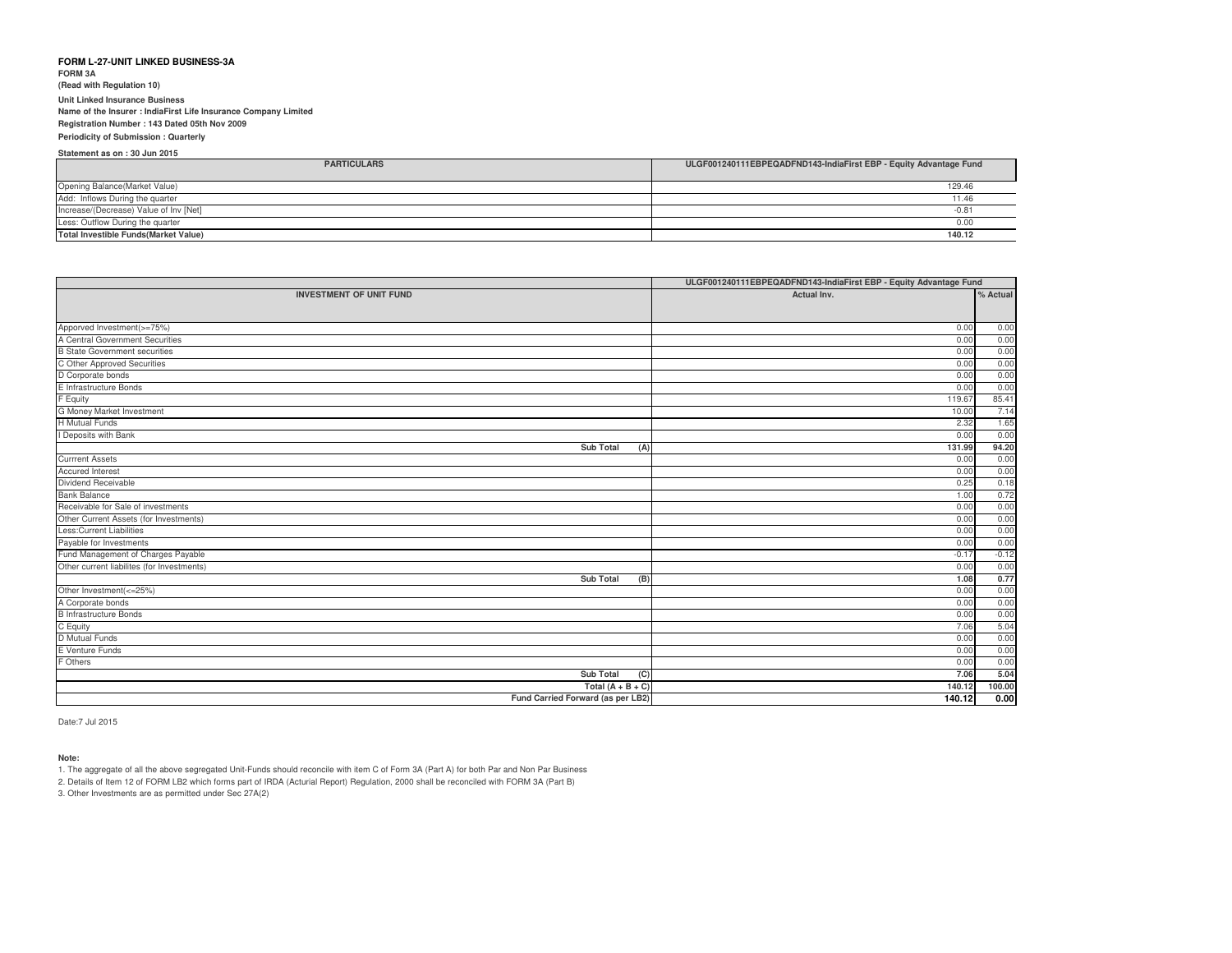**FORM 3A (Read with Regulation 10)Unit Linked Insurance Business Name of the Insurer : IndiaFirst Life Insurance Company LimitedRegistration Number : 143 Dated 05th Nov 2009**

#### **Periodicity of Submission : Quarterly**

**Statement as on : 30 Jun 2015**

| Statement as on : 30 Jun 2015                |                                                                   |
|----------------------------------------------|-------------------------------------------------------------------|
| <b>PARTICULARS</b>                           | ULGF001240111EBPEQADFND143-IndiaFirst EBP - Equity Advantage Fund |
|                                              |                                                                   |
| Opening Balance(Market Value)                | 129.46                                                            |
| Add: Inflows During the quarter              | 11.46                                                             |
| Increase/(Decrease) Value of Inv [Net]       | $-0.81$                                                           |
| Less: Outflow During the quarter             | 0.00                                                              |
| <b>Total Investible Funds (Market Value)</b> | 140.12                                                            |

|                                                               | ULGF001240111EBPEQADFND143-IndiaFirst EBP - Equity Advantage Fund |          |
|---------------------------------------------------------------|-------------------------------------------------------------------|----------|
| <b>INVESTMENT OF UNIT FUND</b>                                | Actual Inv.                                                       | % Actual |
|                                                               |                                                                   |          |
|                                                               |                                                                   |          |
| Apporved Investment(>=75%)<br>A Central Government Securities | 0.00                                                              | 0.00     |
|                                                               | 0.00                                                              | 0.00     |
| <b>B State Government securities</b>                          | 0.00                                                              | 0.00     |
| C Other Approved Securities                                   | 0.00                                                              | 0.00     |
| D Corporate bonds                                             | 0.00                                                              | 0.00     |
| E Infrastructure Bonds                                        | 0.00                                                              | 0.00     |
| F Equity                                                      | 119.67                                                            | 85.41    |
| G Money Market Investment                                     | 10.00                                                             | 7.14     |
| <b>H</b> Mutual Funds                                         | 2.32                                                              | 1.65     |
| I Deposits with Bank                                          | 0.00                                                              | 0.00     |
| Sub Total<br>(A)                                              | 131.99                                                            | 94.20    |
| <b>Currrent Assets</b>                                        | 0.00                                                              | 0.00     |
| <b>Accured Interest</b>                                       | 0.00                                                              | 0.00     |
| Dividend Receivable                                           | 0.25                                                              | 0.18     |
| <b>Bank Balance</b>                                           | 1.00                                                              | 0.72     |
| Receivable for Sale of investments                            | 0.00                                                              | 0.00     |
| Other Current Assets (for Investments)                        | 0.00                                                              | 0.00     |
| Less: Current Liabilities                                     | 0.00                                                              | 0.00     |
| Payable for Investments                                       | 0.00                                                              | 0.00     |
| Fund Management of Charges Payable                            | $-0.17$                                                           | $-0.12$  |
| Other current liabilites (for Investments)                    | 0.00                                                              | 0.00     |
| Sub Total<br>(B)                                              | 1.08                                                              | 0.77     |
| Other Investment(<=25%)                                       | 0.00                                                              | 0.00     |
| A Corporate bonds                                             | 0.00                                                              | 0.00     |
| <b>B</b> Infrastructure Bonds                                 | 0.00                                                              | 0.00     |
| C Equity                                                      | 7.06                                                              | 5.04     |
| D Mutual Funds                                                | 0.00                                                              | 0.00     |
| E Venture Funds                                               | 0.00                                                              | 0.00     |
| F Others                                                      | 0.00                                                              | 0.00     |
| Sub Total<br>(C)                                              | 7.06                                                              | 5.04     |
| Total $(A + B + C)$                                           | 140.12                                                            | 100.00   |
| Fund Carried Forward (as per LB2)                             | 140.12                                                            | 0.00     |

Date:7 Jul 2015

#### **Note:**

1. The aggregate of all the above segregated Unit-Funds should reconcile with item C of Form 3A (Part A) for both Par and Non Par Business

2. Details of Item 12 of FORM LB2 which forms part of IRDA (Acturial Report) Regulation, 2000 shall be reconciled with FORM 3A (Part B)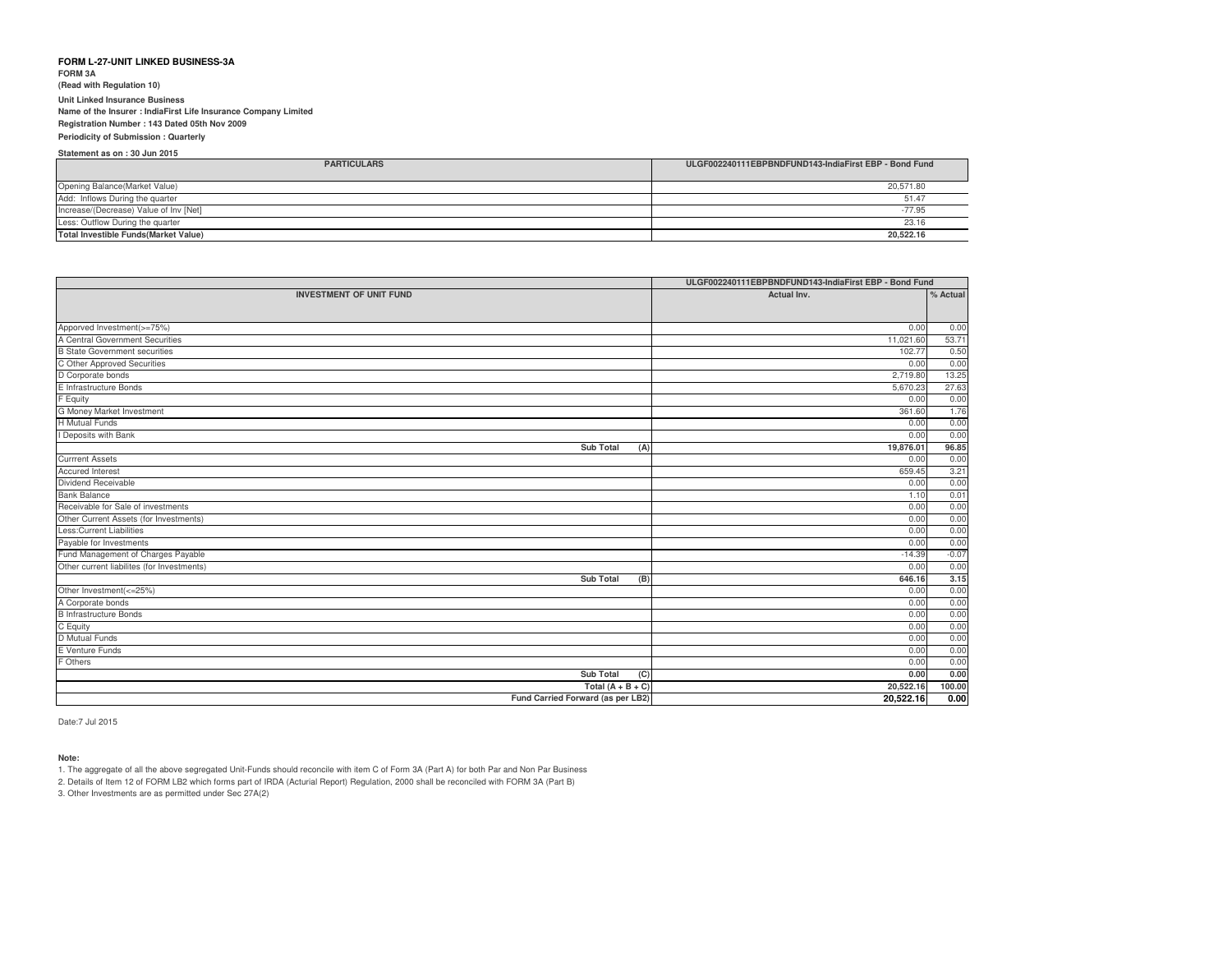**FORM 3A (Read with Regulation 10)Unit Linked Insurance Business Name of the Insurer : IndiaFirst Life Insurance Company LimitedRegistration Number : 143 Dated 05th Nov 2009**

**Periodicity of Submission : QuarterlyStatement as on : 30 Jun 2015**

| ULGF002240111EBPBNDFUND143-IndiaFirst EBP - Bond Fund<br><b>PARTICULARS</b> |           |
|-----------------------------------------------------------------------------|-----------|
| Opening Balance(Market Value)                                               | 20,571.80 |
| Add: Inflows During the quarter                                             | 51.47     |
| Increase/(Decrease) Value of Inv [Net]                                      | $-77.95$  |
| Less: Outflow During the quarter                                            | 23.16     |
| <b>Total Investible Funds (Market Value)</b>                                | 20.522.16 |

|                                            | ULGF002240111EBPBNDFUND143-IndiaFirst EBP - Bond Fund |          |
|--------------------------------------------|-------------------------------------------------------|----------|
| <b>INVESTMENT OF UNIT FUND</b>             | Actual Inv.                                           | % Actual |
|                                            |                                                       |          |
| Apporved Investment(>=75%)                 | 0.00                                                  | 0.00     |
| A Central Government Securities            | 11,021.60                                             | 53.71    |
| <b>B State Government securities</b>       | 102.77                                                | 0.50     |
| C Other Approved Securities                | 0.00                                                  | 0.00     |
| D Corporate bonds                          | 2,719.80                                              | 13.25    |
| E Infrastructure Bonds                     | 5,670.23                                              | 27.63    |
| F Equity                                   | 0.00                                                  | 0.00     |
| <b>G Money Market Investment</b>           | 361.60                                                | 1.76     |
| <b>H</b> Mutual Funds                      | 0.00                                                  | 0.00     |
| I Deposits with Bank                       | 0.00                                                  | 0.00     |
| <b>Sub Total</b><br>(A)                    | 19,876.01                                             | 96.85    |
| <b>Currrent Assets</b>                     | 0.00                                                  | 0.00     |
| <b>Accured Interest</b>                    | 659.45                                                | 3.21     |
| Dividend Receivable                        | 0.00                                                  | 0.00     |
| Bank Balance                               | 1.10                                                  | 0.01     |
| Receivable for Sale of investments         | 0.00                                                  | 0.00     |
| Other Current Assets (for Investments)     | 0.00                                                  | 0.00     |
| Less: Current Liabilities                  | 0.00                                                  | 0.00     |
| Payable for Investments                    | 0.00                                                  | 0.00     |
| Fund Management of Charges Payable         | $-14.39$                                              | $-0.07$  |
| Other current liabilites (for Investments) | 0.00                                                  | 0.00     |
| Sub Total<br>(B)                           | 646.16                                                | 3.15     |
| Other Investment(<=25%)                    | 0.00                                                  | 0.00     |
| A Corporate bonds                          | 0.00                                                  | 0.00     |
| <b>B</b> Infrastructure Bonds              | 0.00                                                  | 0.00     |
| C Equity                                   | 0.00                                                  | 0.00     |
| D Mutual Funds                             | 0.00                                                  | 0.00     |
| E Venture Funds                            | 0.00                                                  | 0.00     |
| F Others                                   | 0.00                                                  | 0.00     |
| <b>Sub Total</b><br>$\overline{C}$         | 0.00                                                  | 0.00     |
| Total $(A + B + C)$                        | 20,522.16                                             | 100.00   |
| Fund Carried Forward (as per LB2)          | 20,522.16                                             | 0.00     |

Date:7 Jul 2015

#### **Note:**

1. The aggregate of all the above segregated Unit-Funds should reconcile with item C of Form 3A (Part A) for both Par and Non Par Business

2. Details of Item 12 of FORM LB2 which forms part of IRDA (Acturial Report) Regulation, 2000 shall be reconciled with FORM 3A (Part B)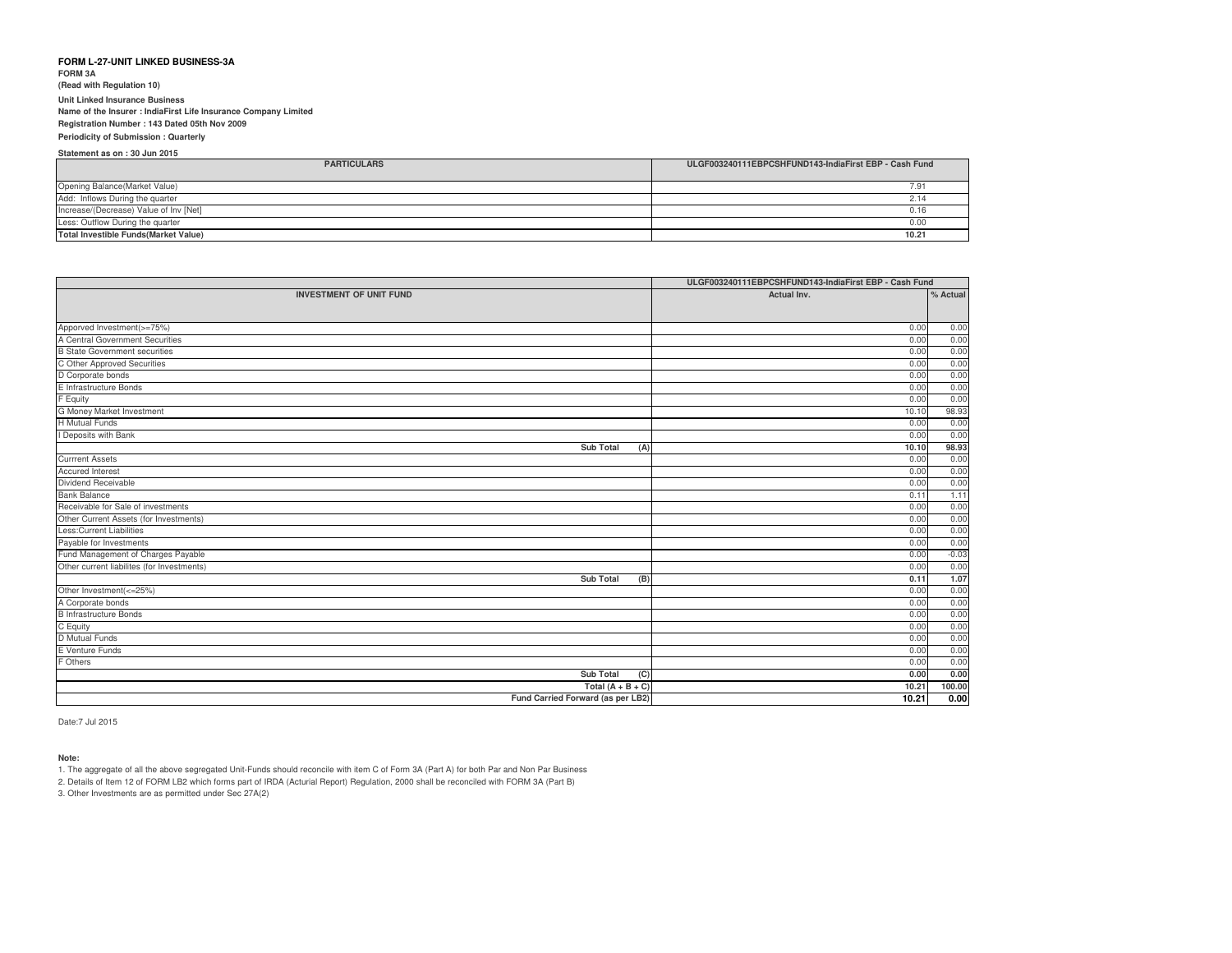**FORM 3A (Read with Regulation 10)Unit Linked Insurance Business Name of the Insurer : IndiaFirst Life Insurance Company LimitedRegistration Number : 143 Dated 05th Nov 2009**

**Periodicity of Submission : QuarterlyStatement as on : 30 Jun 2015**

| <b>PARTICULARS</b>                          | ULGF003240111EBPCSHFUND143-IndiaFirst EBP - Cash Fund |
|---------------------------------------------|-------------------------------------------------------|
| Opening Balance(Market Value)               |                                                       |
| Add: Inflows During the quarter             | 2.14                                                  |
| Increase/(Decrease) Value of Inv [Net]      | 0.16                                                  |
| Less: Outflow During the quarter            | 0.00                                                  |
| <b>Total Investible Funds(Market Value)</b> | 10.21                                                 |

|                                            | ULGF003240111EBPCSHFUND143-IndiaFirst EBP - Cash Fund |          |
|--------------------------------------------|-------------------------------------------------------|----------|
| <b>INVESTMENT OF UNIT FUND</b>             | Actual Inv.                                           | % Actual |
|                                            |                                                       |          |
| Apporved Investment(>=75%)                 | 0.00                                                  | 0.00     |
| A Central Government Securities            | 0.00                                                  | 0.00     |
| <b>B State Government securities</b>       | 0.00                                                  | 0.00     |
| C Other Approved Securities                | 0.00                                                  | 0.00     |
| D Corporate bonds                          | 0.00                                                  | 0.00     |
| E Infrastructure Bonds                     | 0.00                                                  | 0.00     |
| F Equity                                   | 0.00                                                  | 0.00     |
| G Money Market Investment                  | 10.10                                                 | 98.93    |
| <b>H</b> Mutual Funds                      | 0.00                                                  | 0.00     |
| I Deposits with Bank                       | 0.00                                                  | 0.00     |
| <b>Sub Total</b><br>(A)                    | 10.10                                                 | 98.93    |
| <b>Currrent Assets</b>                     | 0.00                                                  | 0.00     |
| <b>Accured Interest</b>                    | 0.00                                                  | 0.00     |
| Dividend Receivable                        | 0.00                                                  | 0.00     |
| <b>Bank Balance</b>                        | 0.11                                                  | 1.11     |
| Receivable for Sale of investments         | 0.00                                                  | 0.00     |
| Other Current Assets (for Investments)     | 0.00                                                  | 0.00     |
| Less:Current Liabilities                   | 0.00                                                  | 0.00     |
| Payable for Investments                    | 0.00                                                  | 0.00     |
| Fund Management of Charges Payable         | 0.00                                                  | $-0.03$  |
| Other current liabilites (for Investments) | 0.00                                                  | 0.00     |
| <b>Sub Total</b><br>(B)                    | 0.11                                                  | 1.07     |
| Other Investment(<=25%)                    | 0.00                                                  | 0.00     |
| A Corporate bonds                          | 0.00                                                  | 0.00     |
| <b>B</b> Infrastructure Bonds              | 0.00                                                  | 0.00     |
| C Equity                                   | 0.00                                                  | 0.00     |
| D Mutual Funds                             | 0.00                                                  | 0.00     |
| E Venture Funds                            | 0.00                                                  | 0.00     |
| F Others                                   | 0.00                                                  | 0.00     |
| <b>Sub Total</b><br>(C)                    | 0.00                                                  | 0.00     |
| Total $(A + B + C)$                        | 10.21                                                 | 100.00   |
| Fund Carried Forward (as per LB2)          | 10.21                                                 | 0.00     |

Date:7 Jul 2015

#### **Note:**

1. The aggregate of all the above segregated Unit-Funds should reconcile with item C of Form 3A (Part A) for both Par and Non Par Business

2. Details of Item 12 of FORM LB2 which forms part of IRDA (Acturial Report) Regulation, 2000 shall be reconciled with FORM 3A (Part B)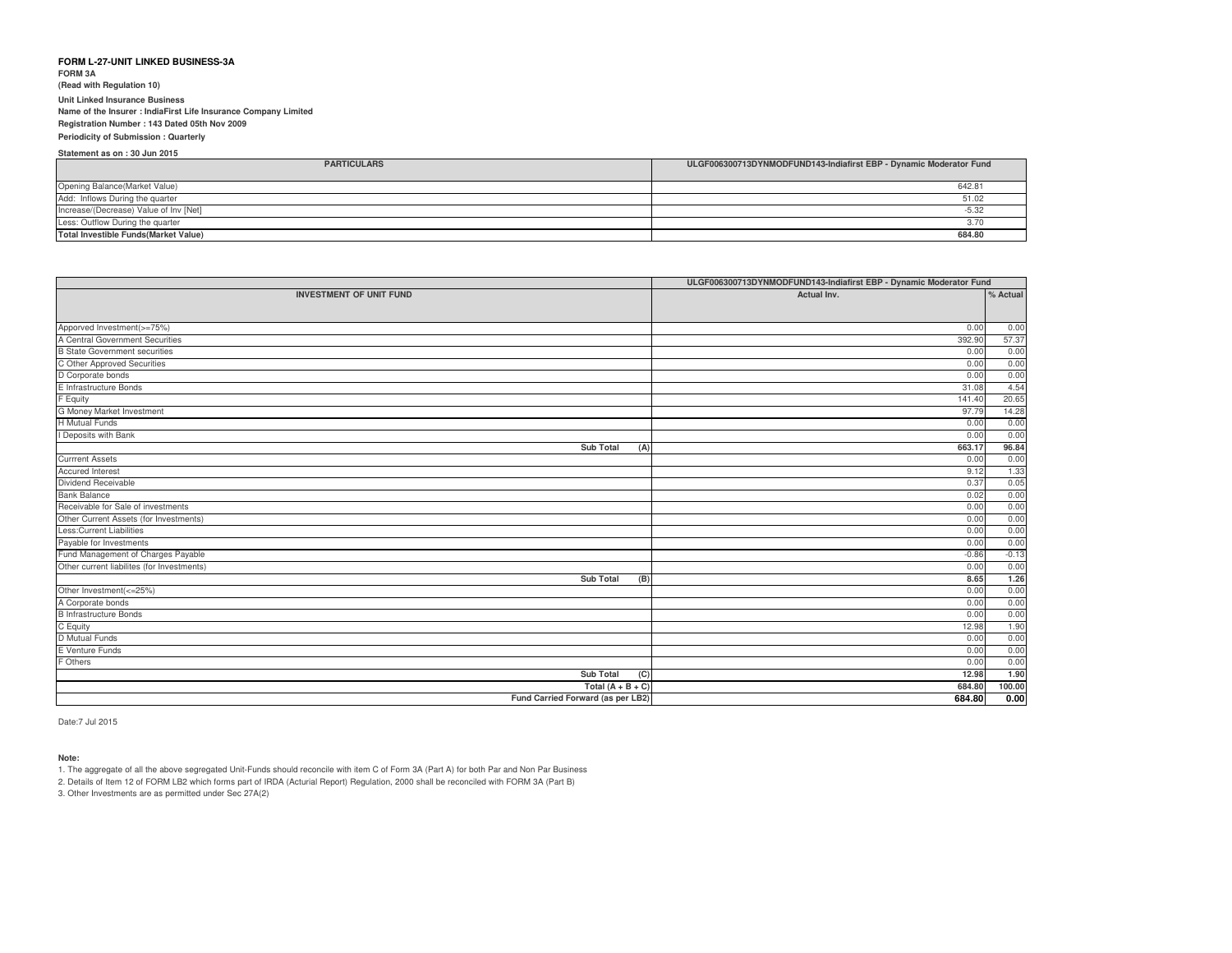**FORM 3A (Read with Regulation 10)Unit Linked Insurance Business Name of the Insurer : IndiaFirst Life Insurance Company LimitedRegistration Number : 143 Dated 05th Nov 2009**

**Periodicity of Submission : QuarterlyStatement as on : 30 Jun 2015**

| <b>PARTICULARS</b>                           | ULGF006300713DYNMODFUND143-Indiafirst EBP - Dynamic Moderator Fund |
|----------------------------------------------|--------------------------------------------------------------------|
| Opening Balance(Market Value)                | 642.81                                                             |
| Add: Inflows During the quarter              | 51.02                                                              |
| Increase/(Decrease) Value of Inv [Net]       | $-5.32$                                                            |
| Less: Outflow During the quarter             | 3.70                                                               |
| <b>Total Investible Funds (Market Value)</b> | 684.80                                                             |

|                                            | ULGF006300713DYNMODFUND143-Indiafirst EBP - Dynamic Moderator Fund |          |
|--------------------------------------------|--------------------------------------------------------------------|----------|
| <b>INVESTMENT OF UNIT FUND</b>             | Actual Inv.                                                        | % Actual |
|                                            |                                                                    |          |
| Apporved Investment(>=75%)                 | 0.00                                                               | 0.00     |
| A Central Government Securities            | 392.90                                                             | 57.37    |
| <b>B</b> State Government securities       | 0.00                                                               | 0.00     |
| C Other Approved Securities                | 0.00                                                               | 0.00     |
| D Corporate bonds                          | 0.00                                                               | 0.00     |
| E Infrastructure Bonds                     | 31.08                                                              | 4.54     |
| F Equity                                   | 141.40                                                             | 20.65    |
| G Money Market Investment                  | 97.79                                                              | 14.28    |
| <b>H</b> Mutual Funds                      | 0.00                                                               | 0.00     |
| I Deposits with Bank                       | 0.00                                                               | 0.00     |
| <b>Sub Total</b><br>(A)                    | 663.17                                                             | 96.84    |
| <b>Currrent Assets</b>                     | 0.00                                                               | 0.00     |
| <b>Accured Interest</b>                    | 9.12                                                               | 1.33     |
| Dividend Receivable                        | 0.37                                                               | 0.05     |
| <b>Bank Balance</b>                        | 0.02                                                               | 0.00     |
| Receivable for Sale of investments         | 0.00                                                               | 0.00     |
| Other Current Assets (for Investments)     | 0.00                                                               | 0.00     |
| Less: Current Liabilities                  | 0.00                                                               | 0.00     |
| Payable for Investments                    | 0.00                                                               | 0.00     |
| Fund Management of Charges Payable         | $-0.86$                                                            | $-0.13$  |
| Other current liabilites (for Investments) | 0.00                                                               | 0.00     |
| <b>Sub Total</b><br>(B)                    | 8.65                                                               | 1.26     |
| Other Investment(<=25%)                    | 0.00                                                               | 0.00     |
| A Corporate bonds                          | 0.00                                                               | 0.00     |
| <b>B</b> Infrastructure Bonds              | 0.00                                                               | 0.00     |
| C Equity                                   | 12.98                                                              | 1.90     |
| <b>D</b> Mutual Funds                      | 0.00                                                               | 0.00     |
| E Venture Funds                            | 0.00                                                               | 0.00     |
| F Others                                   | 0.00                                                               | 0.00     |
| <b>Sub Total</b><br>(C)                    | 12.98                                                              | 1.90     |
| Total $(A + B + C)$                        | 684.80                                                             | 100.00   |
| Fund Carried Forward (as per LB2)          | 684.80                                                             | 0.00     |

Date:7 Jul 2015

#### **Note:**

1. The aggregate of all the above segregated Unit-Funds should reconcile with item C of Form 3A (Part A) for both Par and Non Par Business

2. Details of Item 12 of FORM LB2 which forms part of IRDA (Acturial Report) Regulation, 2000 shall be reconciled with FORM 3A (Part B)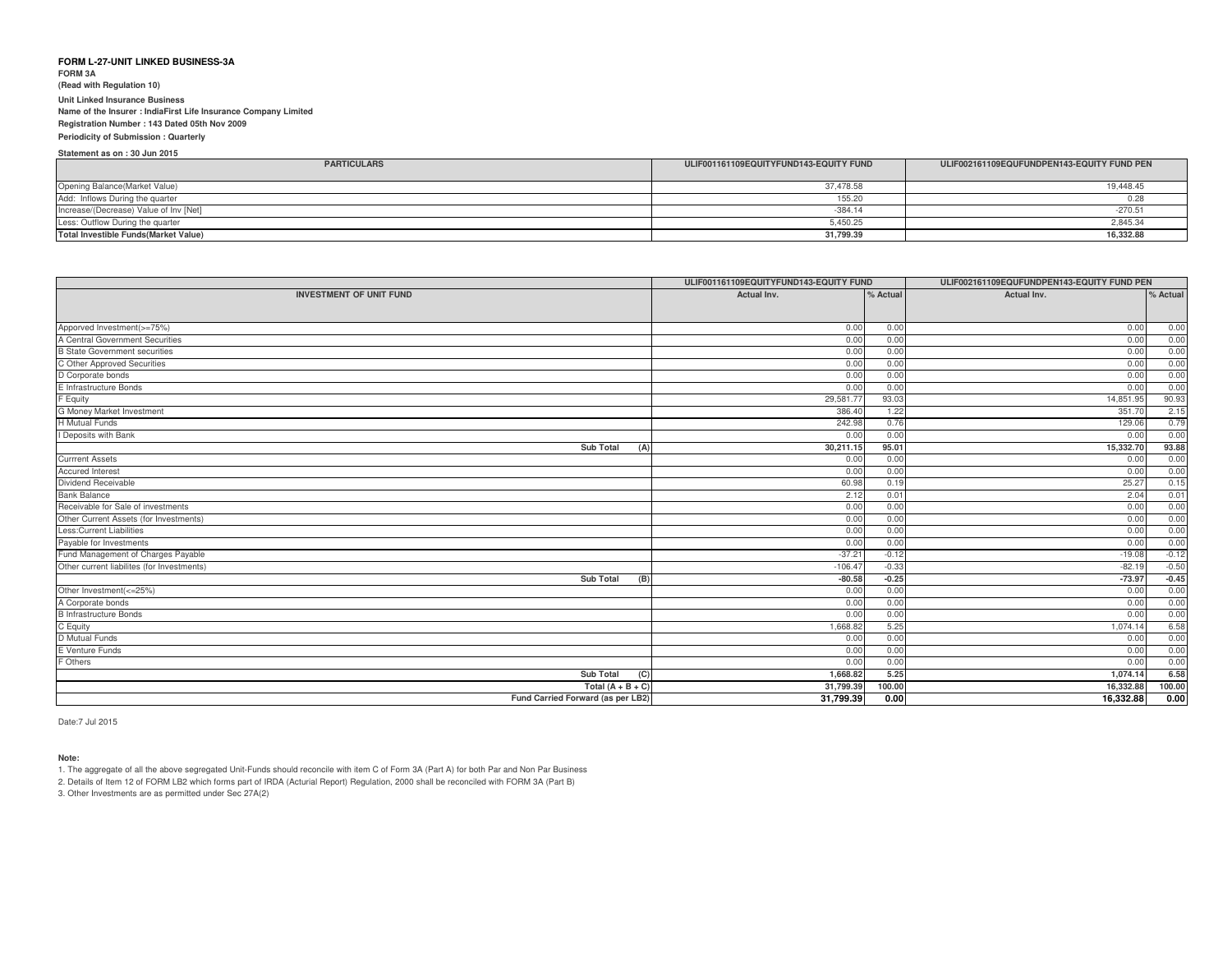**FORM 3A**

# **(Read with Regulation 10)**

**Unit Linked Insurance Business Name of the Insurer : IndiaFirst Life Insurance Company LimitedRegistration Number : 143 Dated 05th Nov 2009**

**Periodicity of Submission : Quarterly**

**Statement as on : 30 Jun 2015PARTICULARS**Opening Balance(Market Value) Add: Inflows During the quarter Increase/(Decrease) Value of Inv [Net]Less: Outflow During the quarter **Total Investible Funds(Market Value)**37,478.588 19,448.45 155.200.28 -384.14 -270.51 5,450.25 2,845.34 **31,799.39 16,332.88 ULIF001161109EQUITYFUND143-EQUITY FUNDULIF002161109EQUFUNDPEN143-EQUITY FUND PEN**

|                                            | ULIF001161109EQUITYFUND143-EQUITY FUND |              | ULIF002161109EQUFUNDPEN143-EQUITY FUND PEN |              |
|--------------------------------------------|----------------------------------------|--------------|--------------------------------------------|--------------|
| <b>INVESTMENT OF UNIT FUND</b>             | Actual Inv.                            | % Actual     | Actual Inv.                                | % Actual     |
|                                            |                                        |              |                                            |              |
|                                            |                                        |              |                                            |              |
| Apporved Investment(>=75%)                 | 0.00                                   | 0.00<br>0.00 | 0.00                                       | 0.00<br>0.00 |
| A Central Government Securities            | 0.00                                   |              | 0.00                                       |              |
| <b>B State Government securities</b>       | 0.00                                   | 0.00         | 0.00                                       | 0.00         |
| C Other Approved Securities                | 0.00                                   | 0.00         | 0.00                                       | 0.00         |
| D Corporate bonds                          | 0.00                                   | 0.00         | 0.00                                       | 0.00         |
| E Infrastructure Bonds                     | 0.00                                   | 0.00         | 0.00                                       | 0.00         |
| F Equity                                   | 29,581.7                               | 93.03        | 14,851.95                                  | 90.93        |
| G Money Market Investment                  | 386.40                                 | 1.22         | 351.70                                     | 2.15         |
| <b>H</b> Mutual Funds                      | 242.98                                 | 0.76         | 129.06                                     | 0.79         |
| I Deposits with Bank                       | 0.00                                   | 0.00         | 0.00                                       | 0.00         |
| <b>Sub Total</b><br>(A)                    | 30,211.15                              | 95.01        | 15,332.70                                  | 93.88        |
| <b>Currrent Assets</b>                     | 0.00                                   | 0.00         | 0.00                                       | 0.00         |
| <b>Accured Interest</b>                    | 0.00                                   | 0.00         | 0.00                                       | 0.00         |
| Dividend Receivable                        | 60.98                                  | 0.19         | 25.27                                      | 0.15         |
| <b>Bank Balance</b>                        | 2.12                                   | 0.01         | 2.04                                       | 0.01         |
| Receivable for Sale of investments         | 0.00                                   | 0.00         | 0.00                                       | 0.00         |
| Other Current Assets (for Investments)     | 0.00                                   | 0.00         | 0.00                                       | 0.00         |
| Less: Current Liabilities                  | 0.00                                   | 0.00         | 0.00                                       | 0.00         |
| Payable for Investments                    | 0.00                                   | 0.00         | 0.00                                       | 0.00         |
| Fund Management of Charges Payable         | $-37.21$                               | $-0.12$      | $-19.08$                                   | $-0.12$      |
| Other current liabilites (for Investments) | $-106.47$                              | $-0.33$      | $-82.19$                                   | $-0.50$      |
| <b>Sub Total</b><br>(B)                    | $-80.58$                               | $-0.25$      | $-73.97$                                   | $-0.45$      |
| Other Investment(<=25%)                    | 0.00                                   | 0.00         | 0.00                                       | 0.00         |
| A Corporate bonds                          | 0.00                                   | 0.00         | 0.00                                       | 0.00         |
| <b>B</b> Infrastructure Bonds              | 0.00                                   | 0.00         | 0.00                                       | 0.00         |
| C Equity                                   | 1,668.82                               | 5.25         | 1,074.14                                   | 6.58         |
| D Mutual Funds                             | 0.00                                   | 0.00         | 0.00                                       | 0.00         |
| E Venture Funds                            | 0.00                                   | 0.00         | 0.00                                       | 0.00         |
| F Others                                   | 0.00                                   | 0.00         | 0.00                                       | 0.00         |
| <b>Sub Total</b><br>(C)                    | 1,668.82                               | 5.25         | 1,074.14                                   | 6.58         |
| Total $(A + B + C)$                        | 31,799.39                              | 100.00       | 16,332.88                                  | 100.00       |
| Fund Carried Forward (as per LB2)          | 31,799.39                              | 0.00         | 16,332.88                                  | 0.00         |

Date:7 Jul 2015

#### **Note:**

1. The aggregate of all the above segregated Unit-Funds should reconcile with item C of Form 3A (Part A) for both Par and Non Par Business

2. Details of Item 12 of FORM LB2 which forms part of IRDA (Acturial Report) Regulation, 2000 shall be reconciled with FORM 3A (Part B)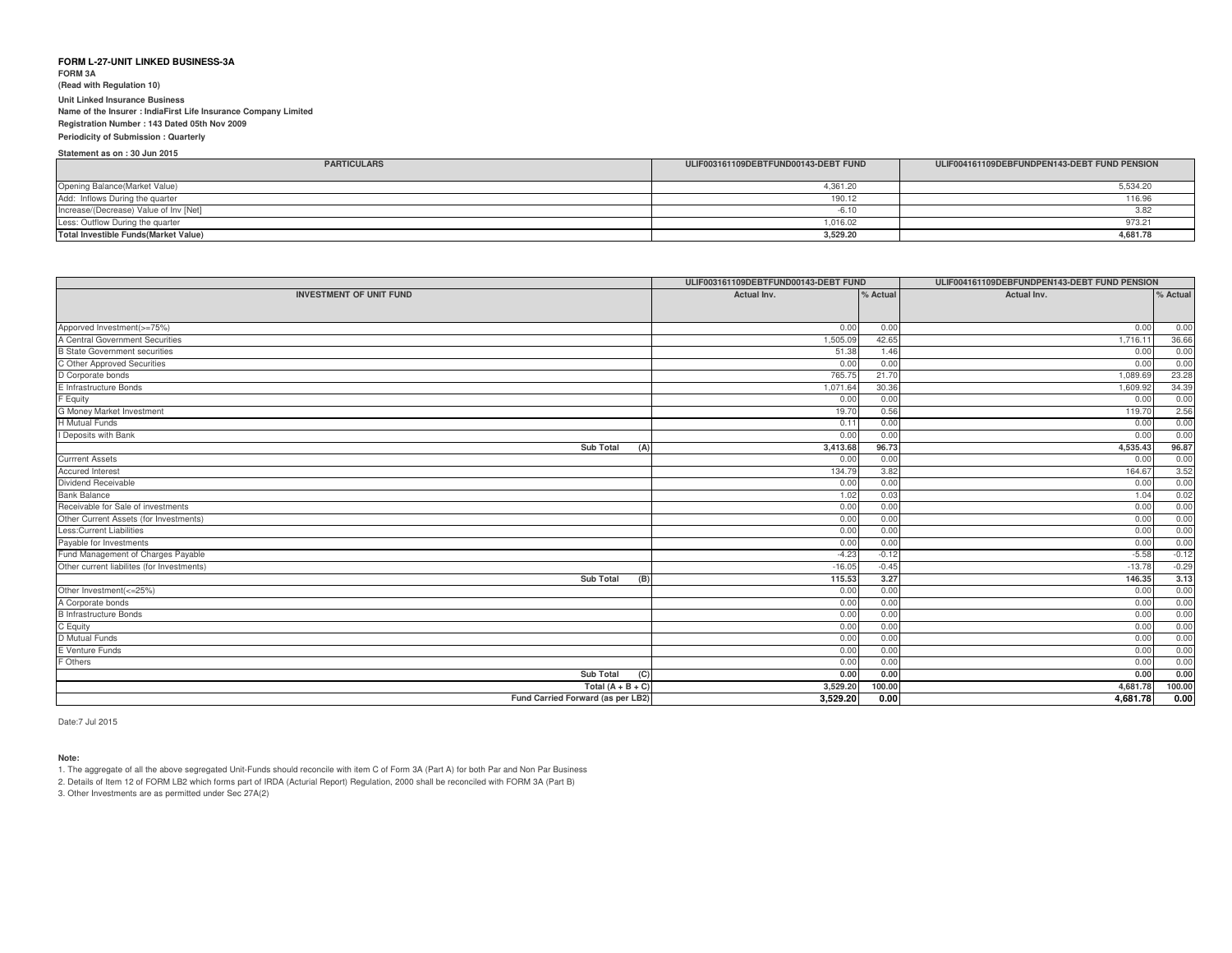**FORM 3A**

**(Read with Regulation 10)**

**Unit Linked Insurance Business**

**Name of the Insurer : IndiaFirst Life Insurance Company Limited**

**Registration Number : 143 Dated 05th Nov 2009Periodicity of Submission : Quarterly**

**Statement as on : 30 Jun 2015**

| <b>PARTICULARS</b>                     | ULIF003161109DEBTFUND00143-DEBT FUND | ULIF004161109DEBFUNDPEN143-DEBT FUND PENSION |
|----------------------------------------|--------------------------------------|----------------------------------------------|
| Opening Balance (Market Value)         | 4.361.20                             | 5,534.20                                     |
| Add: Inflows During the quarter        | 190.12                               | 116.96                                       |
| Increase/(Decrease) Value of Inv [Net] | $-6.10$                              |                                              |
| Less: Outflow During the quarter       | 1,016.02                             | 973.21                                       |
| Total Investible Funds (Market Value)  | 3,529.20                             | 4,681.78                                     |

|                                            | ULIF003161109DEBTFUND00143-DEBT FUND |         | ULIF004161109DEBFUNDPEN143-DEBT FUND PENSION |          |
|--------------------------------------------|--------------------------------------|---------|----------------------------------------------|----------|
| <b>INVESTMENT OF UNIT FUND</b>             | Actual Inv.<br>% Actual              |         | Actual Inv.                                  | % Actual |
|                                            |                                      |         |                                              |          |
| Apporved Investment(>=75%)                 | 0.00                                 | 0.00    | 0.00                                         | 0.00     |
| A Central Government Securities            | 1,505.09                             | 42.65   | 1,716.11                                     | 36.66    |
| <b>B State Government securities</b>       | 51.38                                | 1.46    | 0.00                                         | 0.00     |
| C Other Approved Securities                | 0.00                                 | 0.00    | 0.00                                         | 0.00     |
| D Corporate bonds                          | 765.75                               | 21.70   | 1,089.69                                     | 23.28    |
| E Infrastructure Bonds                     | 1,071.64                             | 30.36   | 1,609.92                                     | 34.39    |
| F Equity                                   | 0.00                                 | 0.00    | 0.00                                         | 0.00     |
| G Money Market Investment                  | 19.70                                | 0.56    | 119.70                                       | 2.56     |
| H Mutual Funds                             | 0.11                                 | 0.00    | 0.00                                         | 0.00     |
| I Deposits with Bank                       | 0.00                                 | 0.00    | 0.00                                         | 0.00     |
| Sub Total<br>(A)                           | 3,413.68                             | 96.73   | 4,535.43                                     | 96.87    |
| <b>Currrent Assets</b>                     | 0.00                                 | 0.00    | 0.00                                         | 0.00     |
| <b>Accured Interest</b>                    | 134.79                               | 3.82    | 164.67                                       | 3.52     |
| Dividend Receivable                        | 0.00                                 | 0.00    | 0.00                                         | 0.00     |
| <b>Bank Balance</b>                        | 1.02                                 | 0.03    | 1.04                                         | 0.02     |
| Receivable for Sale of investments         | 0.00                                 | 0.00    | 0.00                                         | 0.00     |
| Other Current Assets (for Investments)     | 0.00                                 | 0.00    | 0.00                                         | 0.00     |
| Less:Current Liabilities                   | 0.00                                 | 0.00    | 0.00                                         | 0.00     |
| Payable for Investments                    | 0.00                                 | 0.00    | 0.00                                         | 0.00     |
| Fund Management of Charges Payable         | $-4.23$                              | $-0.12$ | $-5.58$                                      | $-0.12$  |
| Other current liabilites (for Investments) | $-16.05$                             | $-0.45$ | $-13.78$                                     | $-0.29$  |
| Sub Total<br>(B)                           | 115.53                               | 3.27    | 146.35                                       | 3.13     |
| Other Investment(<=25%)                    | 0.00                                 | 0.00    | 0.00                                         | 0.00     |
| A Corporate bonds                          | 0.00                                 | 0.00    | 0.00                                         | 0.00     |
| <b>B</b> Infrastructure Bonds              | 0.00                                 | 0.00    | 0.00                                         | 0.00     |
| C Equity                                   | 0.00                                 | 0.00    | 0.00                                         | 0.00     |
| D Mutual Funds                             | 0.00                                 | 0.00    | 0.00                                         | 0.00     |
| E Venture Funds                            | 0.00                                 | 0.00    | 0.00                                         | 0.00     |
| F Others                                   | 0.00                                 | 0.00    | 0.00                                         | 0.00     |
| <b>Sub Total</b><br>(C)                    | 0.00                                 | 0.00    | 0.00                                         | 0.00     |
| Total $(A + B + C)$                        | 3,529.20                             | 100.00  | 4,681.78                                     | 100.00   |
| Fund Carried Forward (as per LB2)          | 3,529.20                             | 0.00    | 4,681.78                                     | 0.00     |

Date:7 Jul 2015

#### **Note:**

1. The aggregate of all the above segregated Unit-Funds should reconcile with item C of Form 3A (Part A) for both Par and Non Par Business

2. Details of Item 12 of FORM LB2 which forms part of IRDA (Acturial Report) Regulation, 2000 shall be reconciled with FORM 3A (Part B)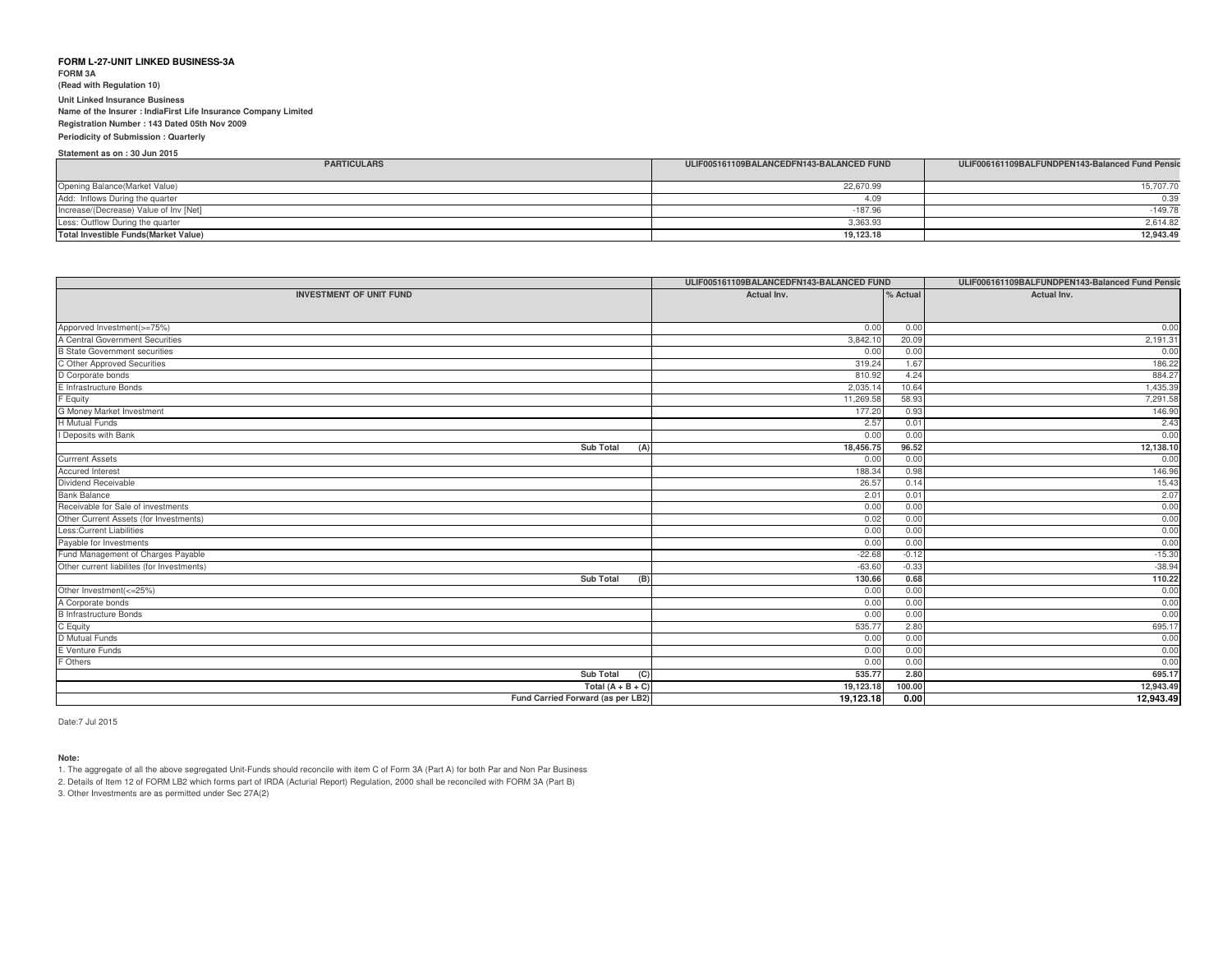**FORM 3A(Read with Regulation 10)**

# **Unit Linked Insurance Business**

 **Name of the Insurer : IndiaFirst Life Insurance Company LimitedRegistration Number : 143 Dated 05th Nov 2009**

**Periodicity of Submission : Quarterly**

**Statement as on : 30 Jun 2015**

| <b>PARTICULARS</b>                           | ULIF005161109BALANCEDFN143-BALANCED FUND | ULIF006161109BALFUNDPEN143-Balanced Fund Pensic |
|----------------------------------------------|------------------------------------------|-------------------------------------------------|
|                                              |                                          |                                                 |
| Opening Balance (Market Value)               | 22.670.99                                | 15,707.70                                       |
| Add: Inflows During the quarter              | 4.09                                     | 0.39                                            |
| Increase/(Decrease) Value of Inv [Net]       | $-187.96$                                | $-149.78$                                       |
| Less: Outflow During the quarter             | 3,363.93                                 | 2,614.82                                        |
| <b>Total Investible Funds (Market Value)</b> | 19,123.18                                | 12,943.49                                       |

|                                            | ULIF005161109BALANCEDFN143-BALANCED FUND |         | ULIF006161109BALFUNDPEN143-Balanced Fund Pensic |  |
|--------------------------------------------|------------------------------------------|---------|-------------------------------------------------|--|
| <b>INVESTMENT OF UNIT FUND</b>             | Actual Inv.<br>% Actual                  |         | Actual Inv.                                     |  |
|                                            |                                          |         |                                                 |  |
| Apporved Investment(>=75%)                 | 0.00                                     | 0.00    | 0.00                                            |  |
| A Central Government Securities            | 3,842.10                                 | 20.09   | 2,191.31                                        |  |
| <b>B State Government securities</b>       | 0.00                                     | 0.00    | 0.00                                            |  |
| C Other Approved Securities                | 319.24                                   | 1.67    | 186.22                                          |  |
| D Corporate bonds                          | 810.92                                   | 4.24    | 884.27                                          |  |
| E Infrastructure Bonds                     | 2,035.1                                  | 10.64   | 1,435.39                                        |  |
| F Equity                                   | 11,269.58                                | 58.93   | 7,291.58                                        |  |
| G Money Market Investment                  | 177.20                                   | 0.93    | 146.90                                          |  |
| H Mutual Funds                             | 2.57                                     | 0.01    | 2.43                                            |  |
| I Deposits with Bank                       | 0.00                                     | 0.00    | 0.00                                            |  |
| <b>Sub Total</b><br>(A)                    | 18,456.75                                | 96.52   | 12,138.10                                       |  |
| <b>Currrent Assets</b>                     | 0.00                                     | 0.00    | 0.00                                            |  |
| <b>Accured Interest</b>                    | 188.34                                   | 0.98    | 146.96                                          |  |
| Dividend Receivable                        | 26.57                                    | 0.14    | 15.43                                           |  |
| <b>Bank Balance</b>                        | 2.01                                     | 0.01    | 2.07                                            |  |
| Receivable for Sale of investments         | 0.00                                     | 0.00    | 0.00                                            |  |
| Other Current Assets (for Investments)     | 0.02                                     | 0.00    | 0.00                                            |  |
| Less: Current Liabilities                  | 0.00                                     | 0.00    | 0.00                                            |  |
| Payable for Investments                    | 0.00                                     | 0.00    | 0.00                                            |  |
| Fund Management of Charges Payable         | $-22.68$                                 | $-0.12$ | $-15.30$                                        |  |
| Other current liabilites (for Investments) | $-63.60$                                 | $-0.33$ | $-38.94$                                        |  |
| Sub Total<br>(B)                           | 130.66                                   | 0.68    | 110.22                                          |  |
| Other Investment(<=25%)                    | 0.00                                     | 0.00    | 0.00                                            |  |
| A Corporate bonds                          | 0.00                                     | 0.00    | 0.00                                            |  |
| <b>B</b> Infrastructure Bonds              | 0.00                                     | 0.00    | 0.00                                            |  |
| C Equity                                   | 535.77                                   | 2.80    | 695.17                                          |  |
| D Mutual Funds                             | 0.00                                     | 0.00    | 0.00                                            |  |
| E Venture Funds                            | 0.00                                     | 0.00    | 0.00                                            |  |
| F Others                                   | 0.00                                     | 0.00    | 0.00                                            |  |
| Sub Total<br>(C)                           | 535.77                                   | 2.80    | 695.17                                          |  |
| Total $(A + B + C)$                        | 19,123.18                                | 100.00  | 12,943.49                                       |  |
| Fund Carried Forward (as per LB2)          | 19,123.18                                | 0.00    | 12,943.49                                       |  |

Date:7 Jul 2015

# **Note:**

1. The aggregate of all the above segregated Unit-Funds should reconcile with item C of Form 3A (Part A) for both Par and Non Par Business

2. Details of Item 12 of FORM LB2 which forms part of IRDA (Acturial Report) Regulation, 2000 shall be reconciled with FORM 3A (Part B)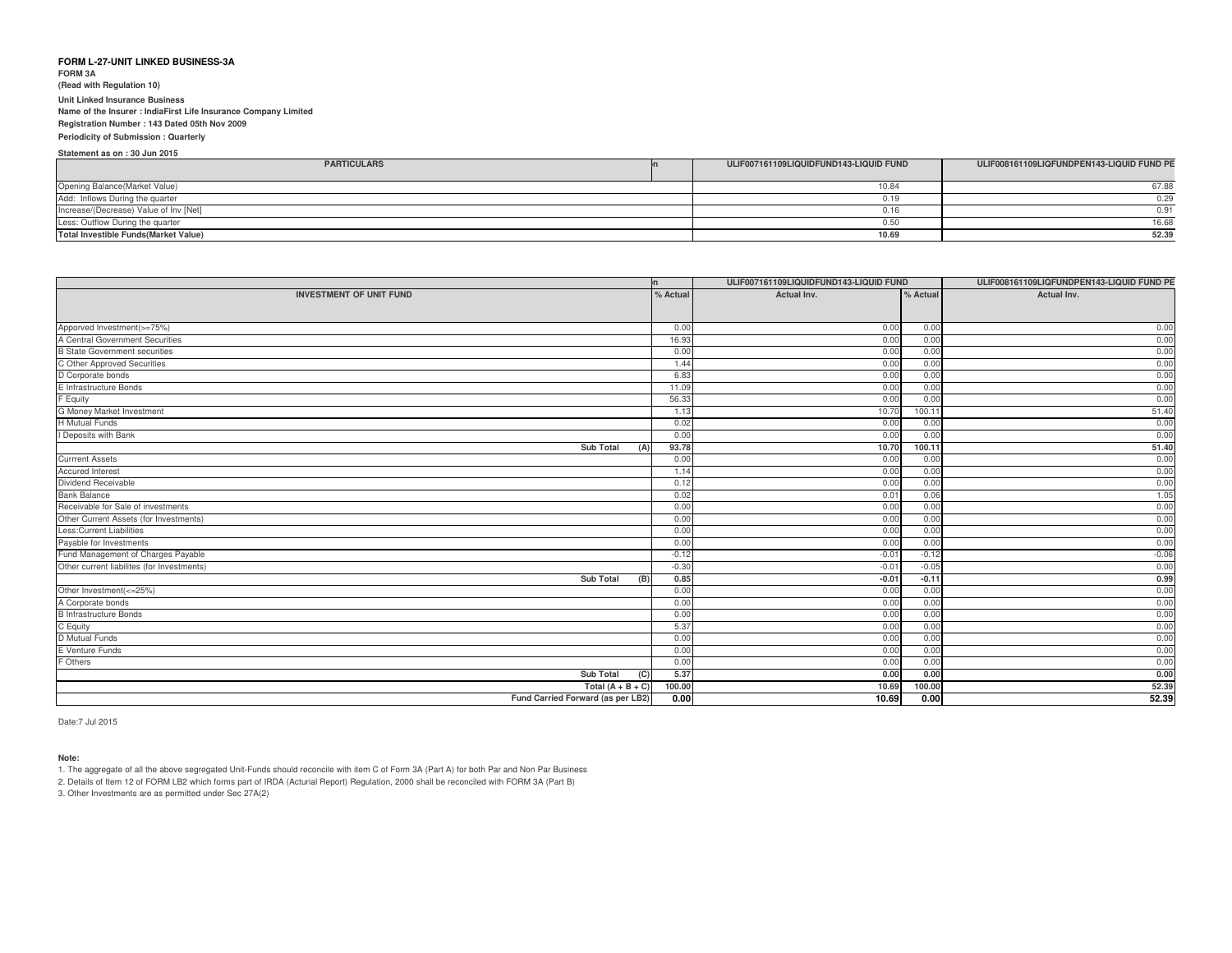**FORM 3A**

**(Read with Regulation 10)**

**Unit Linked Insurance Business**

**Name of the Insurer : IndiaFirst Life Insurance Company Limited**

# **Registration Number : 143 Dated 05th Nov 2009**

**Periodicity of Submission : QuarterlyStatement as on : 30 Jun 2015**

| <b>PARTICULARS</b>                           | ULIF007161109LIQUIDFUND143-LIQUID FUND | ULIF008161109LIQFUNDPEN143-LIQUID FUND PE |
|----------------------------------------------|----------------------------------------|-------------------------------------------|
|                                              |                                        |                                           |
| Opening Balance(Market Value)                | 10.84                                  | 67.88                                     |
| Add: Inflows During the quarter              | 0.19                                   | 0.29                                      |
| Increase/(Decrease) Value of Inv [Net]       | 0.16                                   | 0.91                                      |
| Less: Outflow During the quarter             | 0.50                                   | 16.68                                     |
| <b>Total Investible Funds (Market Value)</b> | 10.69                                  | 52.39                                     |
|                                              |                                        |                                           |

|                                                                                  | n.       | ULIF007161109LIQUIDFUND143-LIQUID FUND |         | ULIF008161109LIQFUNDPEN143-LIQUID FUND PE |
|----------------------------------------------------------------------------------|----------|----------------------------------------|---------|-------------------------------------------|
| <b>INVESTMENT OF UNIT FUND</b>                                                   | % Actual | Actual Inv.<br>% Actual                |         | Actual Inv.                               |
|                                                                                  |          |                                        |         |                                           |
|                                                                                  |          |                                        |         |                                           |
| Apporved Investment(>=75%)                                                       | 0.00     | 0.00                                   | 0.00    | 0.00                                      |
| A Central Government Securities                                                  | 16.93    | 0.00                                   | 0.00    | 0.00                                      |
| <b>B State Government securities</b>                                             | 0.00     | 0.00                                   | 0.00    | 0.00                                      |
| C Other Approved Securities                                                      | 1.44     | 0.00                                   | 0.00    | 0.00                                      |
| D Corporate bonds<br>E Infrastructure Bonds                                      | 6.83     | 0.00                                   | 0.00    | 0.00                                      |
|                                                                                  | 11.09    | 0.00                                   | 0.00    | 0.00                                      |
| F Equity                                                                         | 56.33    | 0.00                                   | 0.00    | 0.00                                      |
| G Money Market Investment                                                        | 1.13     | 10.70                                  | 100.11  | 51.40                                     |
| <b>H</b> Mutual Funds                                                            | 0.02     | 0.00                                   | 0.00    | 0.00                                      |
| I Deposits with Bank                                                             | 0.00     | 0.00                                   | 0.00    | 0.00                                      |
| Sub Total<br>(A)                                                                 | 93.78    | 10.70                                  | 100.11  | 51.40                                     |
| <b>Currrent Assets</b>                                                           | 0.00     | 0.00                                   | 0.00    | 0.00                                      |
| <b>Accured Interest</b>                                                          | 1.14     | 0.00                                   | 0.00    | 0.00                                      |
| Dividend Receivable                                                              | 0.12     | 0.00                                   | 0.00    | 0.00                                      |
| <b>Bank Balance</b>                                                              | 0.02     | 0.01                                   | 0.06    | 1.05                                      |
| Receivable for Sale of investments                                               | 0.00     | 0.00                                   | 0.00    | 0.00                                      |
| Other Current Assets (for Investments)                                           | 0.00     | 0.00                                   | 0.00    | 0.00                                      |
| Less: Current Liabilities                                                        | 0.00     | 0.00                                   | 0.00    | 0.00                                      |
| Payable for Investments                                                          | 0.00     | 0.00                                   | 0.00    | 0.00                                      |
| Fund Management of Charges Payable<br>Other current liabilites (for Investments) | $-0.12$  | $-0.01$                                | $-0.12$ | $-0.06$                                   |
|                                                                                  | $-0.30$  | $-0.01$                                | $-0.05$ | 0.00                                      |
| <b>Sub Total</b><br>(B)                                                          | 0.85     | $-0.01$                                | $-0.11$ | 0.99                                      |
| Other Investment(<=25%)                                                          | 0.00     | 0.00                                   | 0.00    | 0.00                                      |
| A Corporate bonds<br><b>B</b> Infrastructure Bonds                               | 0.00     | 0.00                                   | 0.00    | 0.00                                      |
|                                                                                  | 0.00     | 0.00                                   | 0.00    | 0.00                                      |
| C Equity                                                                         | 5.37     | 0.00                                   | 0.00    | 0.00                                      |
| D Mutual Funds                                                                   | 0.00     | 0.00                                   | 0.00    | 0.00                                      |
| E Venture Funds                                                                  | 0.00     | 0.00                                   | 0.00    | 0.00                                      |
| F Others                                                                         | 0.00     | 0.00                                   | 0.00    | 0.00                                      |
| <b>Sub Total</b><br>(C)                                                          | 5.37     | 0.00                                   | 0.00    | 0.00                                      |
| Total $(A + B + C)$                                                              | 100.00   | 10.69                                  | 100.00  | 52.39                                     |
| Fund Carried Forward (as per LB2)                                                | 0.00     | 10.69                                  | 0.00    | 52.39                                     |

Date:7 Jul 2015

# **Note:**

1. The aggregate of all the above segregated Unit-Funds should reconcile with item C of Form 3A (Part A) for both Par and Non Par Business

2. Details of Item 12 of FORM LB2 which forms part of IRDA (Acturial Report) Regulation, 2000 shall be reconciled with FORM 3A (Part B)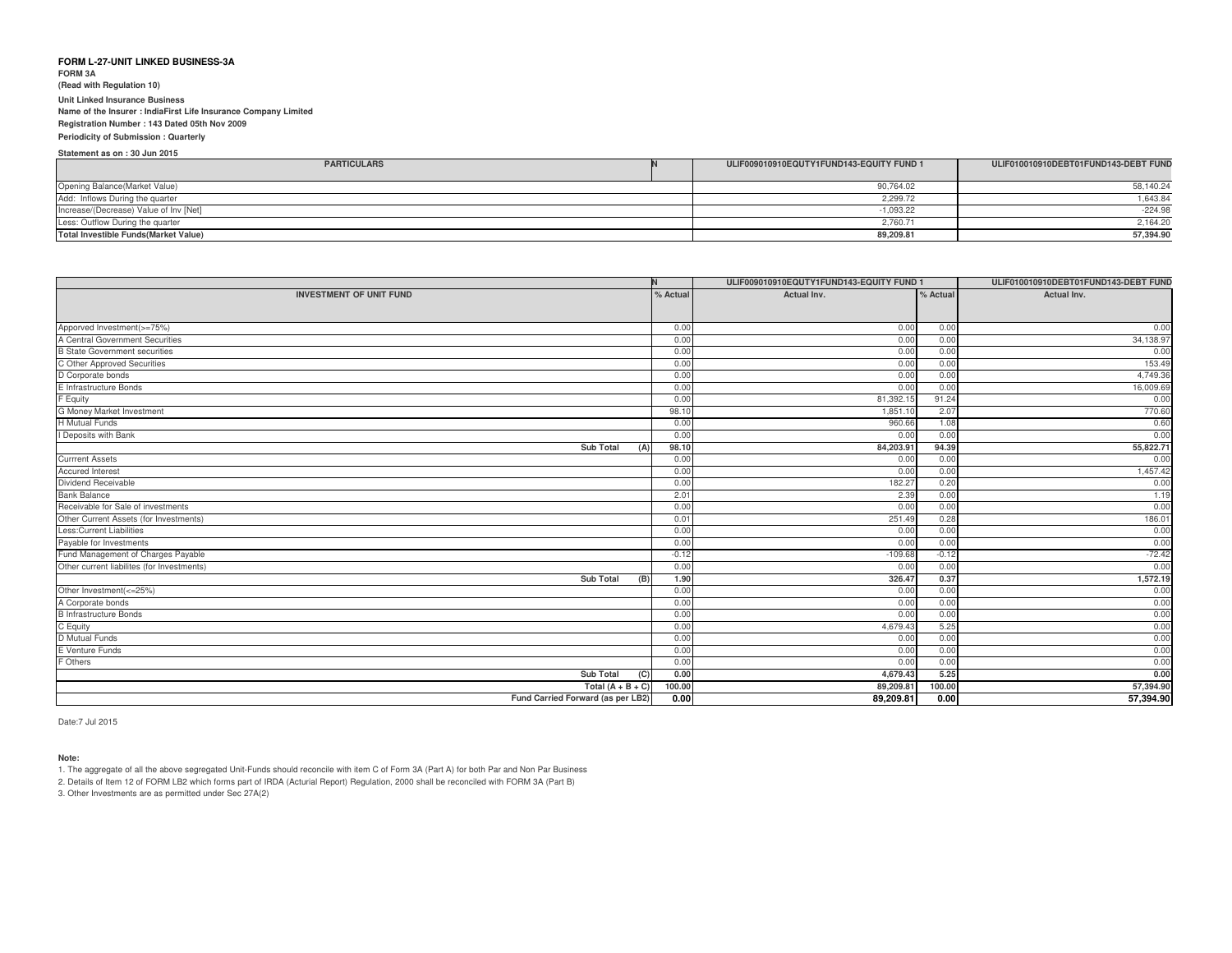**FORM 3A**

**(Read with Regulation 10)**

#### **Unit Linked Insurance Business**

 **Name of the Insurer : IndiaFirst Life Insurance Company LimitedRegistration Number : 143 Dated 05th Nov 2009**

**Periodicity of Submission : QuarterlyStatement as on : 30 Jun 2015**

| ULIF009010910EQUTY1FUND143-EQUITY FUND 1 | ULIF010010910DEBT01FUND143-DEBT FUND |
|------------------------------------------|--------------------------------------|
|                                          |                                      |
| 90.764.02                                | 58,140.24                            |
| 2.299.72                                 | 1,643.84                             |
| $-1.093.22$                              | $-224.98$                            |
| 2,760.71                                 | 2,164.20                             |
| 89,209.81                                | 57,394.90                            |
|                                          |                                      |

|                                            |          | ULIF009010910EQUTY1FUND143-EQUITY FUND 1 |         | ULIF010010910DEBT01FUND143-DEBT FUND |
|--------------------------------------------|----------|------------------------------------------|---------|--------------------------------------|
| <b>INVESTMENT OF UNIT FUND</b>             | % Actual | Actual Inv.<br>% Actual                  |         | Actual Inv.                          |
|                                            |          |                                          |         |                                      |
| Apporved Investment(>=75%)                 | 0.00     | 0.00                                     | 0.00    | 0.00                                 |
| A Central Government Securities            | 0.00     | 0.00                                     | 0.00    | 34,138.97                            |
| <b>B State Government securities</b>       | 0.00     | 0.00                                     | 0.00    | 0.00                                 |
| C Other Approved Securities                | 0.00     | 0.00                                     | 0.00    | 153.49                               |
| D Corporate bonds                          | 0.00     | 0.00                                     | 0.00    | 4,749.36                             |
| E Infrastructure Bonds                     | 0.00     | 0.00                                     | 0.00    | 16,009.69                            |
| F Equity                                   | 0.00     | 81,392.1                                 | 91.24   | 0.00                                 |
| G Money Market Investment                  | 98.10    | 1,851.10                                 | 2.07    | 770.60                               |
| <b>H</b> Mutual Funds                      | 0.00     | 960.66                                   | 1.08    | 0.60                                 |
| I Deposits with Bank                       | 0.00     | 0.00                                     | 0.00    | 0.00                                 |
| <b>Sub Total</b><br>(A)                    | 98.10    | 84,203.91                                | 94.39   | 55,822.71                            |
| <b>Currrent Assets</b>                     | 0.00     | 0.00                                     | 0.00    | 0.00                                 |
| <b>Accured Interest</b>                    | 0.00     | 0.00                                     | 0.00    | 1,457.42                             |
| Dividend Receivable                        | 0.00     | 182.27                                   | 0.20    | 0.00                                 |
| <b>Bank Balance</b>                        | 2.01     | 2.39                                     | 0.00    | 1.19                                 |
| Receivable for Sale of investments         | 0.00     | 0.00                                     | 0.00    | 0.00                                 |
| Other Current Assets (for Investments)     | 0.01     | 251.49                                   | 0.28    | 186.01                               |
| Less: Current Liabilities                  | 0.00     | 0.00                                     | 0.00    | 0.00                                 |
| Payable for Investments                    | 0.00     | 0.00                                     | 0.00    | 0.00                                 |
| Fund Management of Charges Payable         | $-0.12$  | $-109.68$                                | $-0.12$ | $-72.42$                             |
| Other current liabilites (for Investments) | 0.00     | 0.00                                     | 0.00    | 0.00                                 |
| <b>Sub Total</b><br>(B)                    | 1.90     | 326.47                                   | 0.37    | 1,572.19                             |
| Other Investment(<=25%)                    | 0.00     | 0.00                                     | 0.00    | 0.00                                 |
| A Corporate bonds                          | 0.00     | 0.00                                     | 0.00    | 0.00                                 |
| <b>B</b> Infrastructure Bonds              | 0.00     | 0.00                                     | 0.00    | 0.00                                 |
| C Equity                                   | 0.00     | 4,679.43                                 | 5.25    | 0.00                                 |
| D Mutual Funds                             | 0.00     | 0.00                                     | 0.00    | 0.00                                 |
| E Venture Funds                            | 0.00     | 0.00                                     | 0.00    | 0.00                                 |
| F Others                                   | 0.00     | 0.00                                     | 0.00    | 0.00                                 |
| <b>Sub Total</b><br>(C)                    | 0.00     | 4,679.43                                 | 5.25    | 0.00                                 |
| Total $(A + B + C)$                        | 100.00   | 89,209.81                                | 100.00  | 57,394.90                            |
| Fund Carried Forward (as per LB2)          | 0.00     | 89,209.81                                | 0.00    | 57,394.90                            |

Date:7 Jul 2015

#### **Note:**

1. The aggregate of all the above segregated Unit-Funds should reconcile with item C of Form 3A (Part A) for both Par and Non Par Business

2. Details of Item 12 of FORM LB2 which forms part of IRDA (Acturial Report) Regulation, 2000 shall be reconciled with FORM 3A (Part B)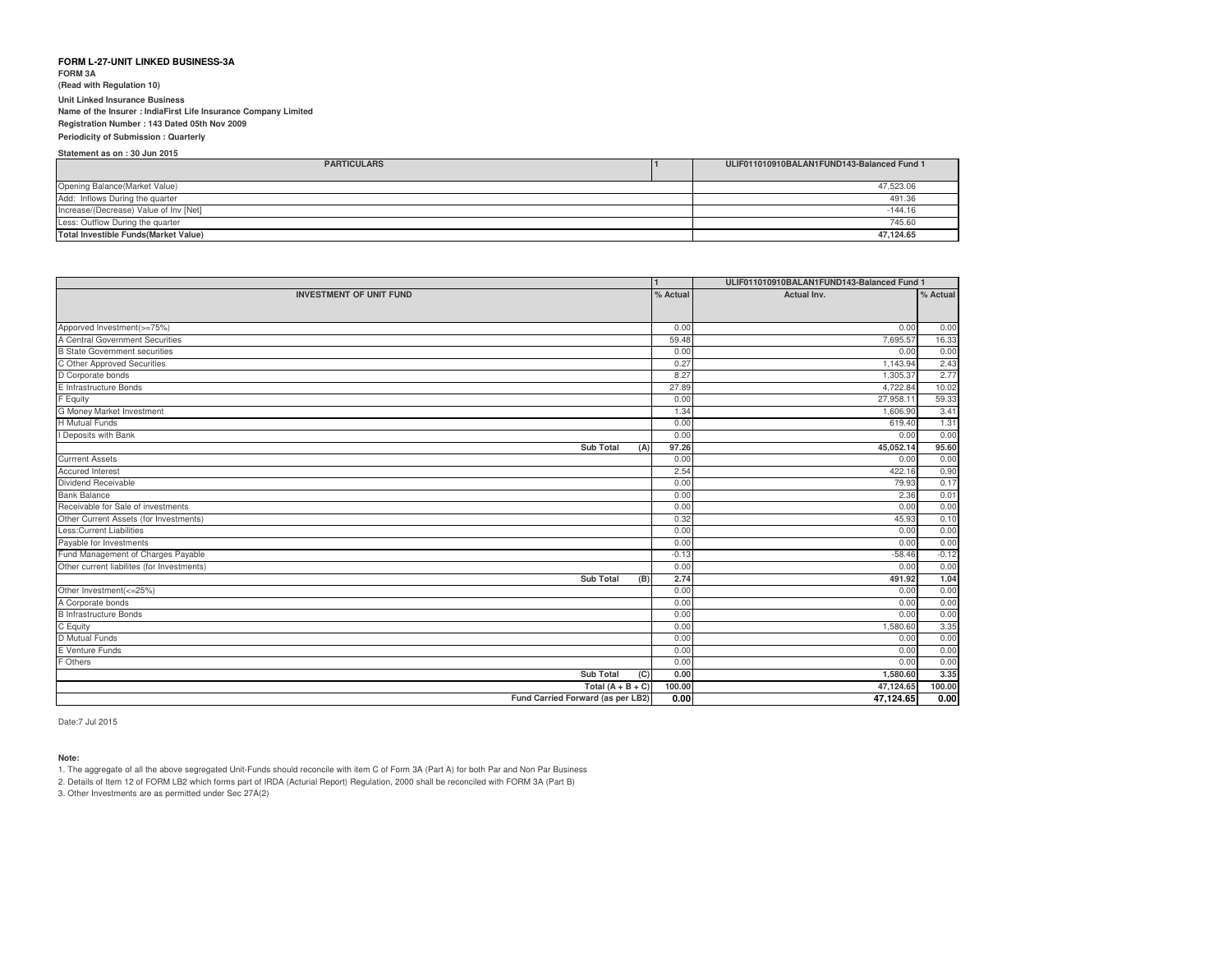**FORM 3A**

**(Read with Regulation 10)**

**Unit Linked Insurance Business**

**Name of the Insurer : IndiaFirst Life Insurance Company Limited**

#### **Registration Number : 143 Dated 05th Nov 2009**

**Periodicity of Submission : Quarterly**

| Statement as on: 30 Jun 2015                 |                                            |
|----------------------------------------------|--------------------------------------------|
| <b>PARTICULARS</b>                           | ULIF011010910BALAN1FUND143-Balanced Fund 1 |
|                                              |                                            |
| Opening Balance(Market Value)                | 47,523.06                                  |
| Add: Inflows During the quarter              | 491.36                                     |
| Increase/(Decrease) Value of Inv [Net]       | $-144.16$                                  |
| Less: Outflow During the quarter             | 745.60                                     |
| <b>Total Investible Funds (Market Value)</b> | 47.124.65                                  |

|                                            |          | ULIF011010910BALAN1FUND143-Balanced Fund 1 |          |
|--------------------------------------------|----------|--------------------------------------------|----------|
| <b>INVESTMENT OF UNIT FUND</b>             | % Actual | Actual Inv.                                | % Actual |
|                                            |          |                                            |          |
| Apporved Investment(>=75%)                 | 0.00     | 0.00                                       | 0.00     |
| A Central Government Securities            | 59.48    | 7.695.57                                   | 16.33    |
| <b>B</b> State Government securities       | 0.00     | 0.00                                       | 0.00     |
| C Other Approved Securities                | 0.27     | 1.143.94                                   | 2.43     |
| D Corporate bonds                          | 8.27     | 1,305.37                                   | 2.77     |
| E Infrastructure Bonds                     | 27.89    | 4,722.84                                   | 10.02    |
| F Equity                                   | 0.00     | 27,958.11                                  | 59.33    |
| G Money Market Investment                  | 1.34     | 1,606.90                                   | 3.41     |
| <b>H</b> Mutual Funds                      | 0.00     | 619.40                                     | 1.31     |
| I Deposits with Bank                       | 0.00     | 0.00                                       | 0.00     |
| <b>Sub Total</b><br>(A)                    | 97.26    | 45,052.14                                  | 95.60    |
| <b>Currrent Assets</b>                     | 0.00     | 0.00                                       | 0.00     |
| <b>Accured Interest</b>                    | 2.54     | 422.16                                     | 0.90     |
| Dividend Receivable                        | 0.00     | 79.93                                      | 0.17     |
| <b>Bank Balance</b>                        | 0.00     | 2.36                                       | 0.01     |
| Receivable for Sale of investments         | 0.00     | 0.00                                       | 0.00     |
| Other Current Assets (for Investments)     | 0.32     | 45.93                                      | 0.10     |
| <b>Less:Current Liabilities</b>            | 0.00     | 0.00                                       | 0.00     |
| Payable for Investments                    | 0.00     | 0.00                                       | 0.00     |
| Fund Management of Charges Payable         | $-0.13$  | $-58.46$                                   | $-0.12$  |
| Other current liabilites (for Investments) | 0.00     | 0.00                                       | 0.00     |
| <b>Sub Total</b><br>(B)                    | 2.74     | 491.92                                     | 1.04     |
| Other Investment(<=25%)                    | 0.00     | 0.00                                       | 0.00     |
| A Corporate bonds                          | 0.00     | 0.00                                       | 0.00     |
| <b>B</b> Infrastructure Bonds              | 0.00     | 0.00                                       | 0.00     |
| C Equity                                   | 0.00     | 1,580.60                                   | 3.35     |
| <b>D</b> Mutual Funds                      | 0.00     | 0.00                                       | 0.00     |
| E Venture Funds                            | 0.00     | 0.00                                       | 0.00     |
| F Others                                   | 0.00     | 0.00                                       | 0.00     |
| <b>Sub Total</b><br>(C)                    | 0.00     | 1,580.60                                   | 3.35     |
| Total $(A + B + C)$                        | 100.00   | 47,124.65                                  | 100.00   |
| Fund Carried Forward (as per LB2)          | 0.00     | 47,124.65                                  | 0.00     |

Date:7 Jul 2015

#### **Note:**

1. The aggregate of all the above segregated Unit-Funds should reconcile with item C of Form 3A (Part A) for both Par and Non Par Business

2. Details of Item 12 of FORM LB2 which forms part of IRDA (Acturial Report) Regulation, 2000 shall be reconciled with FORM 3A (Part B)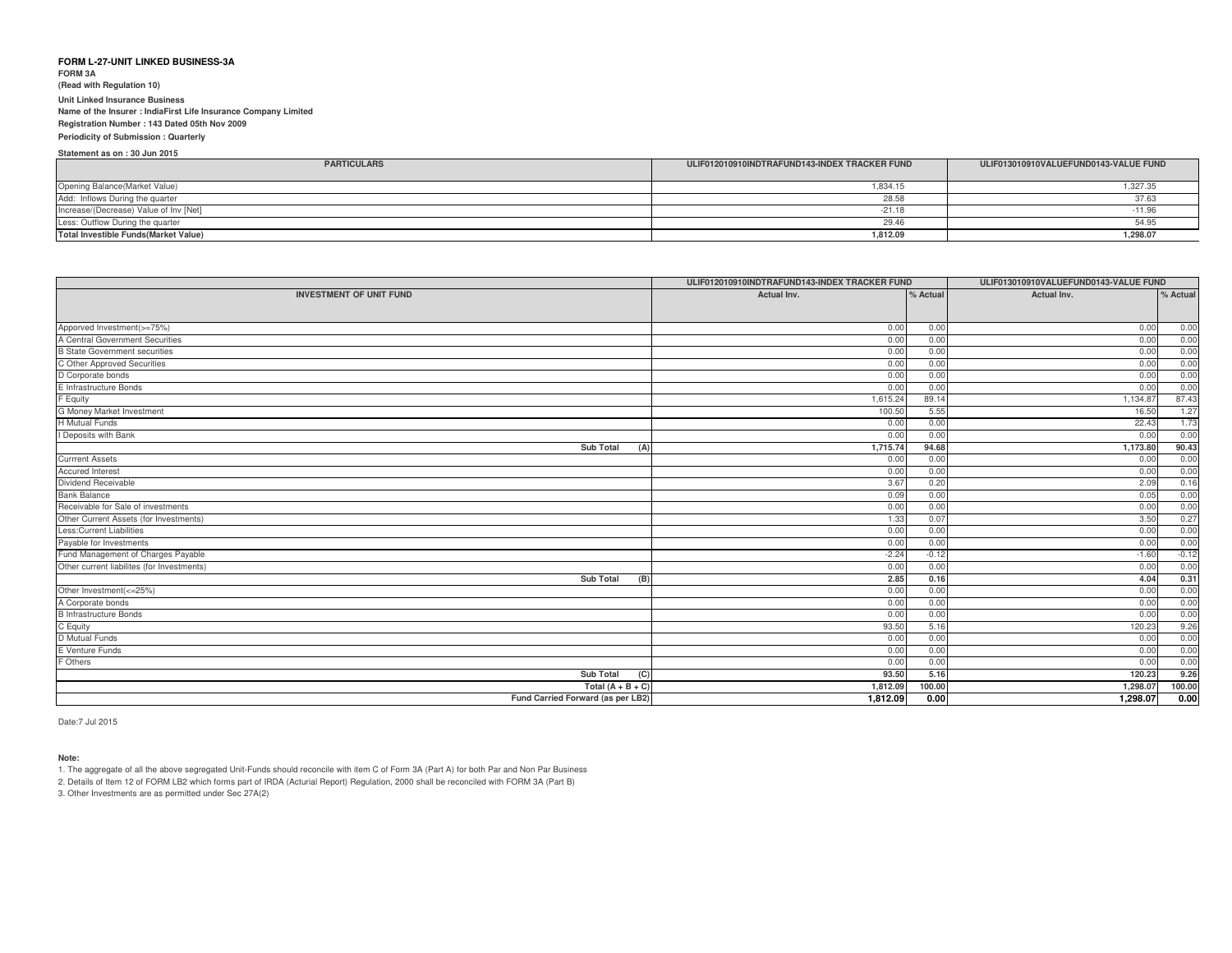**FORM 3A (Read with Regulation 10)Unit Linked Insurance Business**

 **Name of the Insurer : IndiaFirst Life Insurance Company LimitedRegistration Number : 143 Dated 05th Nov 2009**

# **Periodicity of Submission : Quarterly**

**Statement as on : 30 Jun 2015**

| <b>PARTICULARS</b>                           | ULIF012010910INDTRAFUND143-INDEX TRACKER FUND | ULIF013010910VALUEFUND0143-VALUE FUND |
|----------------------------------------------|-----------------------------------------------|---------------------------------------|
| Opening Balance(Market Value)                | 834.15                                        | 1,327.35                              |
| Add: Inflows During the quarter              | 28.58                                         | 37.63                                 |
| Increase/(Decrease) Value of Inv [Net]       | $-21.1$                                       |                                       |
| Less: Outflow During the quarter             | 29.4                                          | 54.95                                 |
| <b>Total Investible Funds (Market Value)</b> | 1,812.09                                      | 1,298.07                              |

|                                                               | ULIF012010910INDTRAFUND143-INDEX TRACKER FUND |              | ULIF013010910VALUEFUND0143-VALUE FUND |          |
|---------------------------------------------------------------|-----------------------------------------------|--------------|---------------------------------------|----------|
| <b>INVESTMENT OF UNIT FUND</b>                                | Actual Inv.                                   | % Actual     |                                       | % Actual |
|                                                               |                                               |              |                                       |          |
|                                                               | 0.00                                          |              |                                       |          |
| Apporved Investment(>=75%)<br>A Central Government Securities | 0.00                                          | 0.00<br>0.00 | 0.00                                  | 0.00     |
|                                                               |                                               |              | 0.00                                  | 0.00     |
| <b>B State Government securities</b>                          | 0.00                                          | 0.00         | 0.00                                  | 0.00     |
| C Other Approved Securities                                   | 0.00                                          | 0.00         | 0.00                                  | 0.00     |
| D Corporate bonds                                             | 0.00                                          | 0.00         | 0.00                                  | 0.00     |
| E Infrastructure Bonds                                        | 0.00                                          | 0.00         | 0.00                                  | 0.00     |
| F Equity                                                      | 1,615.24                                      | 89.14        | 1,134.87                              | 87.43    |
| <b>G Money Market Investment</b>                              | 100.50                                        | 5.55         | 16.50                                 | 1.27     |
| <b>H</b> Mutual Funds                                         | 0.00                                          | 0.00         | 22.43                                 | 1.73     |
| I Deposits with Bank                                          | 0.00                                          | 0.00         | 0.00                                  | 0.00     |
| Sub Total<br>(A)                                              | 1,715.74                                      | 94.68        | 1,173.80                              | 90.43    |
| <b>Currrent Assets</b>                                        | 0.00                                          | 0.00         | 0.00                                  | 0.00     |
| <b>Accured Interest</b>                                       | 0.00                                          | 0.00         | 0.00                                  | 0.00     |
| Dividend Receivable                                           | 3.67                                          | 0.20         | 2.09                                  | 0.16     |
| <b>Bank Balance</b>                                           | 0.09                                          | 0.00         | 0.05                                  | 0.00     |
| Receivable for Sale of investments                            | 0.00                                          | 0.00         | 0.00                                  | 0.00     |
| Other Current Assets (for Investments)                        | 1.33                                          | 0.07         | 3.50                                  | 0.27     |
| Less: Current Liabilities                                     | 0.00                                          | 0.00         | 0.00                                  | 0.00     |
| Payable for Investments                                       | 0.00                                          | 0.00         | 0.00                                  | 0.00     |
| Fund Management of Charges Payable                            | $-2.24$                                       | $-0.12$      | $-1.60$                               | $-0.12$  |
| Other current liabilites (for Investments)                    | 0.00                                          | 0.00         | 0.00                                  | 0.00     |
| Sub Total<br>(B)                                              | 2.85                                          | 0.16         | 4.04                                  | 0.31     |
| Other Investment(<=25%)                                       | 0.00                                          | 0.00         | 0.00                                  | 0.00     |
| A Corporate bonds                                             | 0.00                                          | 0.00         | 0.00                                  | 0.00     |
| <b>B</b> Infrastructure Bonds                                 | 0.00                                          | 0.00         | 0.00                                  | 0.00     |
| C Equity                                                      | 93.50                                         | 5.16         | 120.23                                | 9.26     |
| D Mutual Funds                                                | 0.00                                          | 0.00         | 0.00                                  | 0.00     |
| E Venture Funds                                               | 0.00                                          | 0.00         | 0.00                                  | 0.00     |
| Others                                                        | 0.00                                          | 0.00         | 0.00                                  | 0.00     |
| <b>Sub Total</b><br>(C)                                       | 93.50                                         | 5.16         | 120.23                                | 9.26     |
| Total $(A + B + C)$                                           | 1,812.09                                      | 100.00       | 1,298.07                              | 100.00   |
| Fund Carried Forward (as per LB2)                             | 1,812.09                                      | 0.00         | 1,298.07                              | 0.00     |

Date:7 Jul 2015

# **Note:**

1. The aggregate of all the above segregated Unit-Funds should reconcile with item C of Form 3A (Part A) for both Par and Non Par Business

2. Details of Item 12 of FORM LB2 which forms part of IRDA (Acturial Report) Regulation, 2000 shall be reconciled with FORM 3A (Part B)